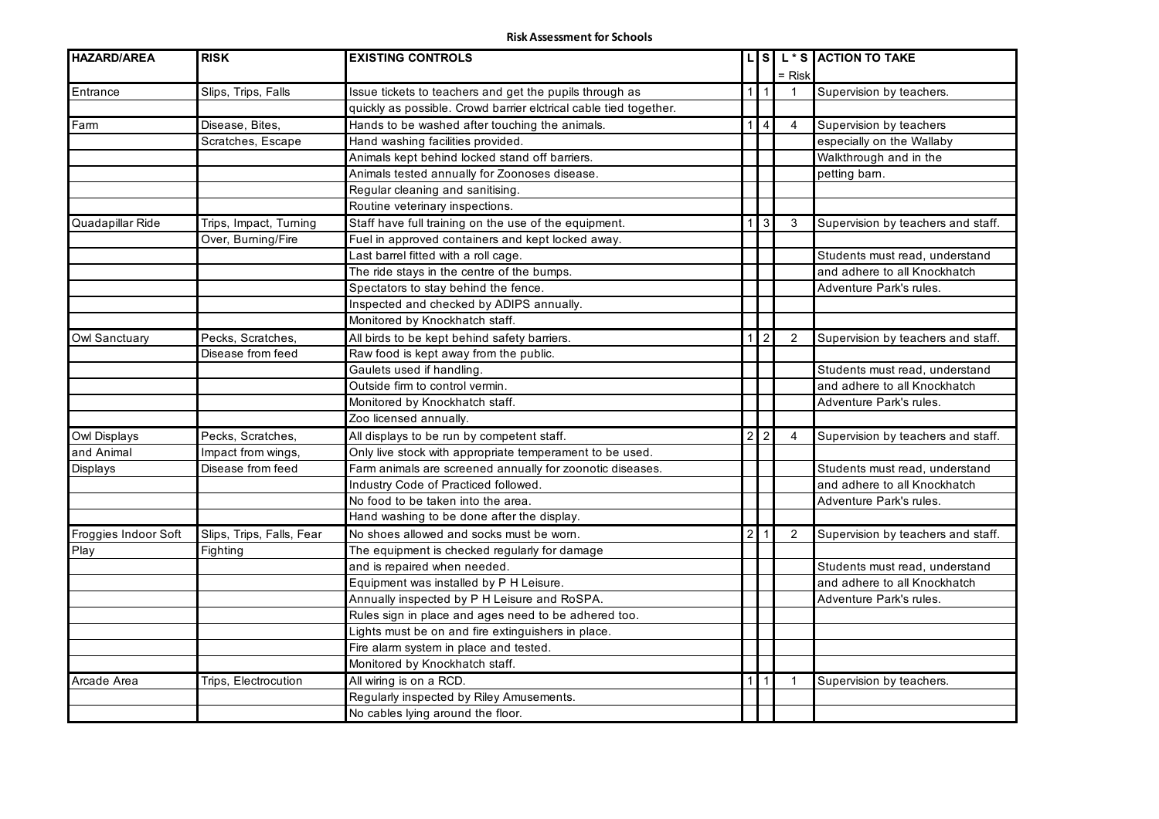| <b>HAZARD/AREA</b>   | <b>RISK</b>               | <b>EXISTING CONTROLS</b>                                          |              |                  |                | LS L <sup>*</sup> S ACTION TO TAKE |
|----------------------|---------------------------|-------------------------------------------------------------------|--------------|------------------|----------------|------------------------------------|
|                      |                           |                                                                   |              |                  | = Risk         |                                    |
| Entrance             | Slips, Trips, Falls       | Issue tickets to teachers and get the pupils through as           |              | $1 \mid 1$       | $\mathbf{1}$   | Supervision by teachers.           |
|                      |                           | quickly as possible. Crowd barrier elctrical cable tied together. |              |                  |                |                                    |
| Farm                 | Disease, Bites,           | Hands to be washed after touching the animals.                    |              | 114              | $\overline{4}$ | Supervision by teachers            |
|                      | Scratches, Escape         | Hand washing facilities provided.                                 |              |                  |                | especially on the Wallaby          |
|                      |                           | Animals kept behind locked stand off barriers.                    |              |                  |                | Walkthrough and in the             |
|                      |                           | Animals tested annually for Zoonoses disease.                     |              |                  |                | petting barn.                      |
|                      |                           | Regular cleaning and sanitising.                                  |              |                  |                |                                    |
|                      |                           | Routine veterinary inspections.                                   |              |                  |                |                                    |
| Quadapillar Ride     | Trips, Impact, Turning    | Staff have full training on the use of the equipment.             | 1            | $\mathbf{3}$     | 3              | Supervision by teachers and staff. |
|                      | Over, Burning/Fire        | Fuel in approved containers and kept locked away.                 |              |                  |                |                                    |
|                      |                           | Last barrel fitted with a roll cage.                              |              |                  |                | Students must read, understand     |
|                      |                           | The ride stays in the centre of the bumps.                        |              |                  |                | and adhere to all Knockhatch       |
|                      |                           | Spectators to stay behind the fence.                              |              |                  |                | Adventure Park's rules.            |
|                      |                           | Inspected and checked by ADIPS annually.                          |              |                  |                |                                    |
|                      |                           | Monitored by Knockhatch staff.                                    |              |                  |                |                                    |
| Owl Sanctuary        | Pecks, Scratches,         | All birds to be kept behind safety barriers.                      | $\mathbf{1}$ | $\overline{2}$   | 2              | Supervision by teachers and staff. |
|                      | Disease from feed         | Raw food is kept away from the public.                            |              |                  |                |                                    |
|                      |                           | Gaulets used if handling.                                         |              |                  |                | Students must read, understand     |
|                      |                           | Outside firm to control vermin.                                   |              |                  |                | and adhere to all Knockhatch       |
|                      |                           | Monitored by Knockhatch staff.                                    |              |                  |                | Adventure Park's rules.            |
|                      |                           | Zoo licensed annually.                                            |              |                  |                |                                    |
| Owl Displays         | Pecks, Scratches,         | All displays to be run by competent staff.                        |              | $2 \overline{2}$ | 4              | Supervision by teachers and staff. |
| and Animal           | Impact from wings,        | Only live stock with appropriate temperament to be used.          |              |                  |                |                                    |
| Displays             | Disease from feed         | Farm animals are screened annually for zoonotic diseases.         |              |                  |                | Students must read, understand     |
|                      |                           | Industry Code of Practiced followed.                              |              |                  |                | and adhere to all Knockhatch       |
|                      |                           | No food to be taken into the area.                                |              |                  |                | Adventure Park's rules.            |
|                      |                           | Hand washing to be done after the display.                        |              |                  |                |                                    |
| Froggies Indoor Soft | Slips, Trips, Falls, Fear | No shoes allowed and socks must be worn.                          | $2 \mid$     |                  | 2              | Supervision by teachers and staff. |
| Play                 | Fighting                  | The equipment is checked regularly for damage                     |              |                  |                |                                    |
|                      |                           | and is repaired when needed.                                      |              |                  |                | Students must read, understand     |
|                      |                           | Equipment was installed by P H Leisure.                           |              |                  |                | and adhere to all Knockhatch       |
|                      |                           | Annually inspected by P H Leisure and RoSPA.                      |              |                  |                | Adventure Park's rules.            |
|                      |                           | Rules sign in place and ages need to be adhered too.              |              |                  |                |                                    |
|                      |                           | Lights must be on and fire extinguishers in place.                |              |                  |                |                                    |
|                      |                           | Fire alarm system in place and tested.                            |              |                  |                |                                    |
|                      |                           | Monitored by Knockhatch staff.                                    |              |                  |                |                                    |
| Arcade Area          | Trips, Electrocution      | All wiring is on a RCD.                                           |              | $1$ [1]          | $\mathbf{1}$   | Supervision by teachers.           |
|                      |                           | Regularly inspected by Riley Amusements.                          |              |                  |                |                                    |
|                      |                           | No cables lying around the floor.                                 |              |                  |                |                                    |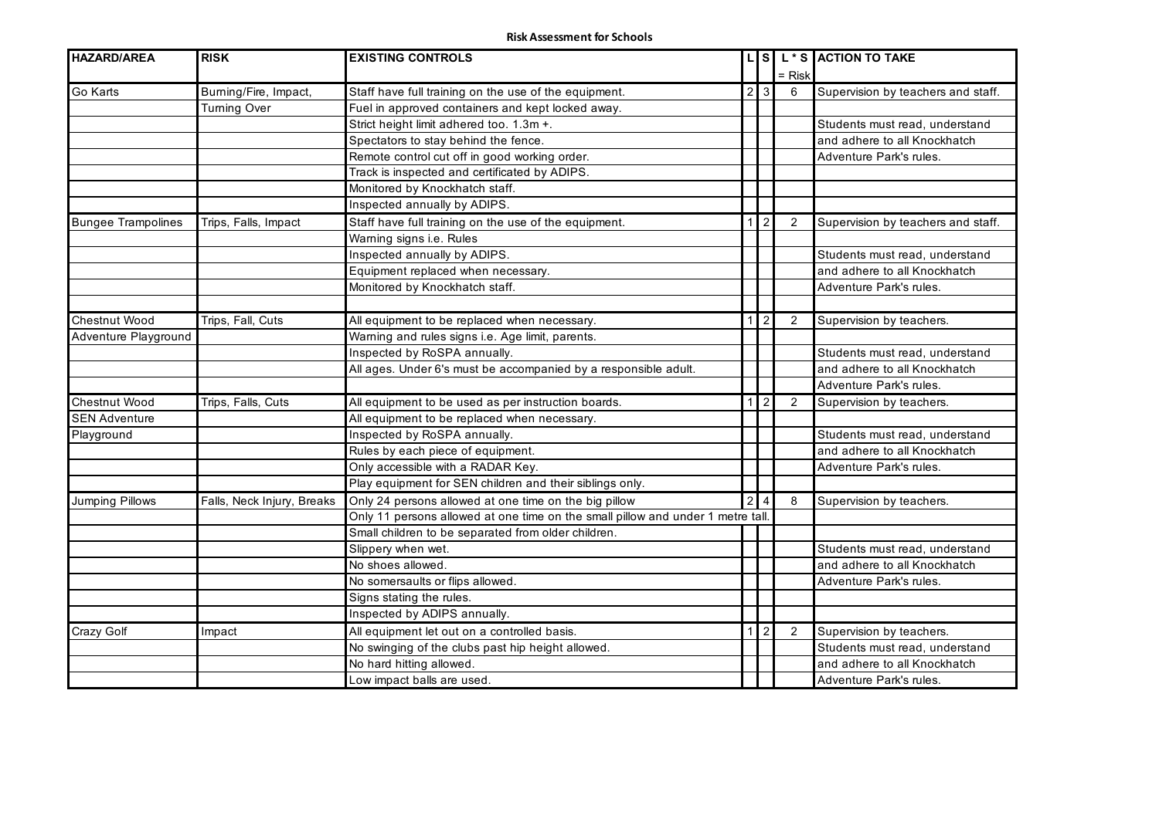| <b>HAZARD/AREA</b>        | <b>RISK</b>                | <b>EXISTING CONTROLS</b>                                                       |               |                  |                | S L * S ACTION TO TAKE             |
|---------------------------|----------------------------|--------------------------------------------------------------------------------|---------------|------------------|----------------|------------------------------------|
|                           |                            |                                                                                |               |                  | $=$ Risk       |                                    |
| Go Karts                  | Burning/Fire, Impact,      | Staff have full training on the use of the equipment.                          | 2             | 3                | 6              | Supervision by teachers and staff. |
|                           | <b>Turning Over</b>        | Fuel in approved containers and kept locked away.                              |               |                  |                |                                    |
|                           |                            | Strict height limit adhered too. 1.3m +.                                       |               |                  |                | Students must read, understand     |
|                           |                            | Spectators to stay behind the fence.                                           |               |                  |                | and adhere to all Knockhatch       |
|                           |                            | Remote control cut off in good working order.                                  |               |                  |                | Adventure Park's rules.            |
|                           |                            | Track is inspected and certificated by ADIPS.                                  |               |                  |                |                                    |
|                           |                            | Monitored by Knockhatch staff.                                                 |               |                  |                |                                    |
|                           |                            | Inspected annually by ADIPS.                                                   |               |                  |                |                                    |
| <b>Bungee Trampolines</b> | Trips, Falls, Impact       | Staff have full training on the use of the equipment.                          |               | $\overline{2}$   | $\overline{2}$ | Supervision by teachers and staff. |
|                           |                            | Warning signs i.e. Rules                                                       |               |                  |                |                                    |
|                           |                            | Inspected annually by ADIPS.                                                   |               |                  |                | Students must read, understand     |
|                           |                            | Equipment replaced when necessary.                                             |               |                  |                | and adhere to all Knockhatch       |
|                           |                            | Monitored by Knockhatch staff.                                                 |               |                  |                | Adventure Park's rules.            |
|                           |                            |                                                                                |               |                  |                |                                    |
| Chestnut Wood             | Trips, Fall, Cuts          | All equipment to be replaced when necessary.                                   |               | $1 \overline{2}$ | 2              | Supervision by teachers.           |
| Adventure Playground      |                            | Warning and rules signs i.e. Age limit, parents.                               |               |                  |                |                                    |
|                           |                            | Inspected by RoSPA annually.                                                   |               |                  |                | Students must read, understand     |
|                           |                            | All ages. Under 6's must be accompanied by a responsible adult.                |               |                  |                | and adhere to all Knockhatch       |
|                           |                            |                                                                                |               |                  |                | Adventure Park's rules.            |
| Chestnut Wood             | Trips, Falls, Cuts         | All equipment to be used as per instruction boards.                            |               | 2                | 2              | Supervision by teachers.           |
| <b>SEN Adventure</b>      |                            | All equipment to be replaced when necessary.                                   |               |                  |                |                                    |
| Playground                |                            | Inspected by RoSPA annually.                                                   |               |                  |                | Students must read, understand     |
|                           |                            | Rules by each piece of equipment.                                              |               |                  |                | and adhere to all Knockhatch       |
|                           |                            | Only accessible with a RADAR Key.                                              |               |                  |                | Adventure Park's rules.            |
|                           |                            | Play equipment for SEN children and their siblings only.                       |               |                  |                |                                    |
| Jumping Pillows           | Falls, Neck Injury, Breaks | Only 24 persons allowed at one time on the big pillow                          | $\mathcal{P}$ | $\overline{4}$   | 8              | Supervision by teachers.           |
|                           |                            | Only 11 persons allowed at one time on the small pillow and under 1 metre tall |               |                  |                |                                    |
|                           |                            | Small children to be separated from older children.                            |               |                  |                |                                    |
|                           |                            | Slippery when wet.                                                             |               |                  |                | Students must read, understand     |
|                           |                            | No shoes allowed.                                                              |               |                  |                | and adhere to all Knockhatch       |
|                           |                            | No somersaults or flips allowed.                                               |               |                  |                | Adventure Park's rules.            |
|                           |                            | Signs stating the rules.                                                       |               |                  |                |                                    |
|                           |                            | Inspected by ADIPS annually.                                                   |               |                  |                |                                    |
| Crazy Golf                | Impact                     | All equipment let out on a controlled basis.                                   |               | $\overline{2}$   | 2              | Supervision by teachers.           |
|                           |                            | No swinging of the clubs past hip height allowed.                              |               |                  |                | Students must read, understand     |
|                           |                            | No hard hitting allowed.                                                       |               |                  |                | and adhere to all Knockhatch       |
|                           |                            | Low impact balls are used.                                                     |               |                  |                | Adventure Park's rules.            |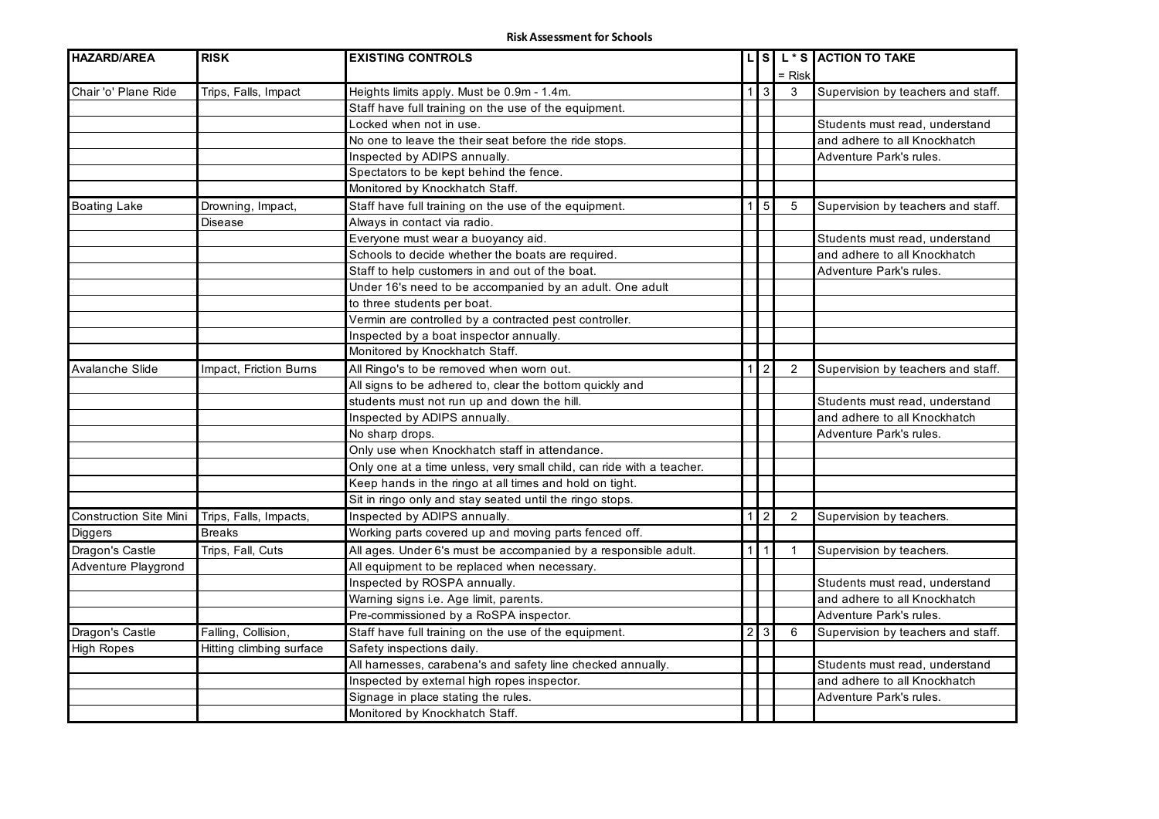| <b>HAZARD/AREA</b>            | <b>RISK</b>              | <b>EXISTING CONTROLS</b>                                              |                |                                 |             | LS L <sup>*</sup> S ACTION TO TAKE |
|-------------------------------|--------------------------|-----------------------------------------------------------------------|----------------|---------------------------------|-------------|------------------------------------|
|                               |                          |                                                                       |                |                                 | = Risk      |                                    |
| Chair 'o' Plane Ride          | Trips, Falls, Impact     | Heights limits apply. Must be 0.9m - 1.4m.                            |                | $1 \overline{\smash{\big)}\ 3}$ | 3           | Supervision by teachers and staff. |
|                               |                          | Staff have full training on the use of the equipment.                 |                |                                 |             |                                    |
|                               |                          | Locked when not in use.                                               |                |                                 |             | Students must read, understand     |
|                               |                          | No one to leave the their seat before the ride stops.                 |                |                                 |             | and adhere to all Knockhatch       |
|                               |                          | Inspected by ADIPS annually.                                          |                |                                 |             | Adventure Park's rules.            |
|                               |                          | Spectators to be kept behind the fence.                               |                |                                 |             |                                    |
|                               |                          | Monitored by Knockhatch Staff.                                        |                |                                 |             |                                    |
| <b>Boating Lake</b>           | Drowning, Impact,        | Staff have full training on the use of the equipment.                 | 1 <sup>1</sup> | $5\phantom{.0}$                 | 5           | Supervision by teachers and staff. |
|                               | Disease                  | Always in contact via radio.                                          |                |                                 |             |                                    |
|                               |                          | Everyone must wear a buoyancy aid.                                    |                |                                 |             | Students must read, understand     |
|                               |                          | Schools to decide whether the boats are required.                     |                |                                 |             | and adhere to all Knockhatch       |
|                               |                          | Staff to help customers in and out of the boat.                       |                |                                 |             | Adventure Park's rules.            |
|                               |                          | Under 16's need to be accompanied by an adult. One adult              |                |                                 |             |                                    |
|                               |                          | to three students per boat.                                           |                |                                 |             |                                    |
|                               |                          | Vermin are controlled by a contracted pest controller.                |                |                                 |             |                                    |
|                               |                          | Inspected by a boat inspector annually.                               |                |                                 |             |                                    |
|                               |                          | Monitored by Knockhatch Staff.                                        |                |                                 |             |                                    |
| <b>Avalanche Slide</b>        | Impact, Friction Burns   | All Ringo's to be removed when worn out.                              |                | $\overline{1}$   2              | 2           | Supervision by teachers and staff. |
|                               |                          | All signs to be adhered to, clear the bottom quickly and              |                |                                 |             |                                    |
|                               |                          | students must not run up and down the hill.                           |                |                                 |             | Students must read, understand     |
|                               |                          | Inspected by ADIPS annually.                                          |                |                                 |             | and adhere to all Knockhatch       |
|                               |                          | No sharp drops.                                                       |                |                                 |             | Adventure Park's rules.            |
|                               |                          | Only use when Knockhatch staff in attendance.                         |                |                                 |             |                                    |
|                               |                          | Only one at a time unless, very small child, can ride with a teacher. |                |                                 |             |                                    |
|                               |                          | Keep hands in the ringo at all times and hold on tight.               |                |                                 |             |                                    |
|                               |                          | Sit in ringo only and stay seated until the ringo stops.              |                |                                 |             |                                    |
| <b>Construction Site Mini</b> | Trips, Falls, Impacts,   | Inspected by ADIPS annually.                                          | $\mathbf{1}$   | $\overline{2}$                  | 2           | Supervision by teachers.           |
| Diggers                       | <b>Breaks</b>            | Working parts covered up and moving parts fenced off.                 |                |                                 |             |                                    |
| Dragon's Castle               | Trips, Fall, Cuts        | All ages. Under 6's must be accompanied by a responsible adult.       |                | $1$   $1$                       | $\mathbf 1$ | Supervision by teachers.           |
| Adventure Playgrond           |                          | All equipment to be replaced when necessary.                          |                |                                 |             |                                    |
|                               |                          | Inspected by ROSPA annually.                                          |                |                                 |             | Students must read, understand     |
|                               |                          | Warning signs i.e. Age limit, parents.                                |                |                                 |             | and adhere to all Knockhatch       |
|                               |                          | Pre-commissioned by a RoSPA inspector.                                |                |                                 |             | Adventure Park's rules.            |
| Dragon's Castle               | Falling, Collision,      | Staff have full training on the use of the equipment.                 |                | $2 \overline{3}$                | 6           | Supervision by teachers and staff. |
| <b>High Ropes</b>             | Hitting climbing surface | Safety inspections daily.                                             |                |                                 |             |                                    |
|                               |                          | All hamesses, carabena's and safety line checked annually.            |                |                                 |             | Students must read, understand     |
|                               |                          | Inspected by external high ropes inspector.                           |                |                                 |             | and adhere to all Knockhatch       |
|                               |                          | Signage in place stating the rules.                                   |                |                                 |             | Adventure Park's rules.            |
|                               |                          | Monitored by Knockhatch Staff.                                        |                |                                 |             |                                    |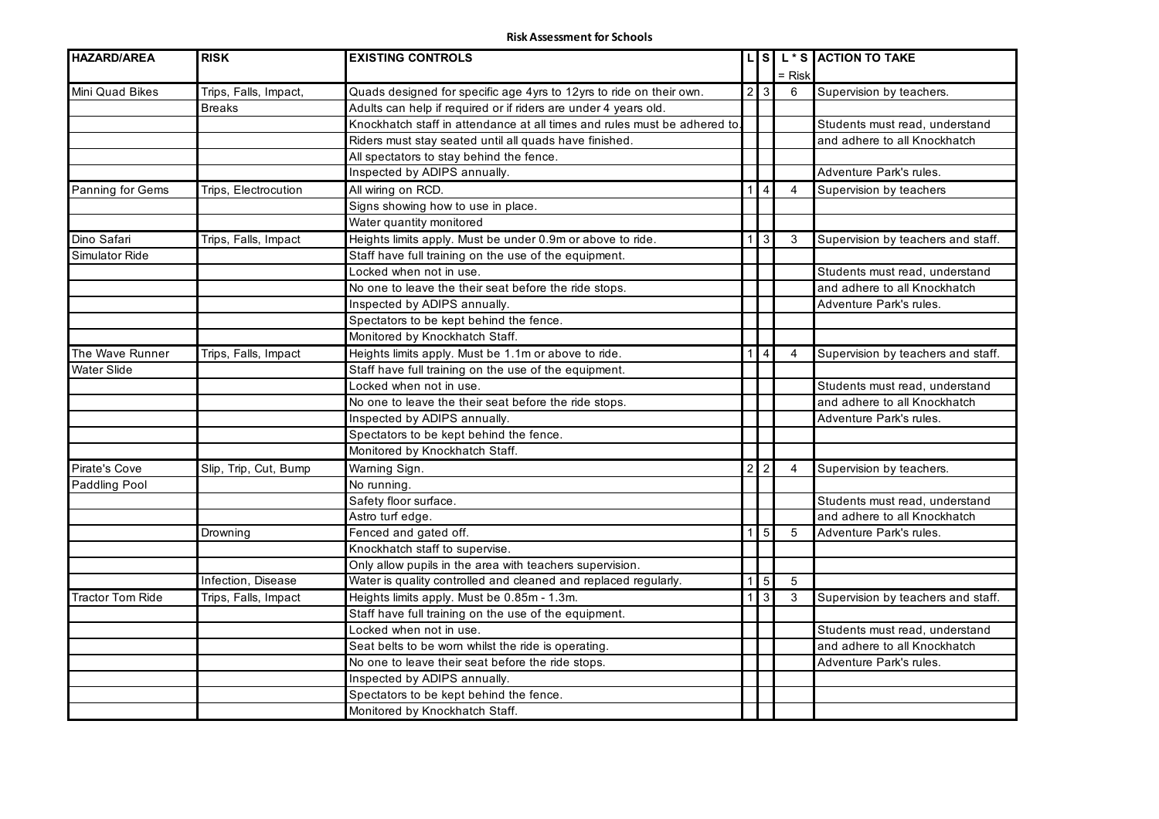| <b>HAZARD/AREA</b>      | <b>RISK</b>           | <b>EXISTING CONTROLS</b>                                                  |                |                    |          | LS L*S ACTION TO TAKE              |
|-------------------------|-----------------------|---------------------------------------------------------------------------|----------------|--------------------|----------|------------------------------------|
|                         |                       |                                                                           |                |                    | $=$ Risk |                                    |
| Mini Quad Bikes         | Trips, Falls, Impact, | Quads designed for specific age 4yrs to 12yrs to ride on their own.       |                | 2 3                | 6        | Supervision by teachers.           |
|                         | <b>Breaks</b>         | Adults can help if required or if riders are under 4 years old.           |                |                    |          |                                    |
|                         |                       | Knockhatch staff in attendance at all times and rules must be adhered to. |                |                    |          | Students must read, understand     |
|                         |                       | Riders must stay seated until all quads have finished.                    |                |                    |          | and adhere to all Knockhatch       |
|                         |                       | All spectators to stay behind the fence.                                  |                |                    |          |                                    |
|                         |                       | Inspected by ADIPS annually.                                              |                |                    |          | Adventure Park's rules.            |
| Panning for Gems        | Trips, Electrocution  | All wiring on RCD.                                                        | 1              | 4                  | 4        | Supervision by teachers            |
|                         |                       | Signs showing how to use in place.                                        |                |                    |          |                                    |
|                         |                       | Water quantity monitored                                                  |                |                    |          |                                    |
| Dino Safari             | Trips, Falls, Impact  | Heights limits apply. Must be under 0.9m or above to ride.                | 1              | 3                  | 3        | Supervision by teachers and staff. |
| Simulator Ride          |                       | Staff have full training on the use of the equipment.                     |                |                    |          |                                    |
|                         |                       | Locked when not in use.                                                   |                |                    |          | Students must read, understand     |
|                         |                       | No one to leave the their seat before the ride stops.                     |                |                    |          | and adhere to all Knockhatch       |
|                         |                       | Inspected by ADIPS annually.                                              |                |                    |          | Adventure Park's rules.            |
|                         |                       | Spectators to be kept behind the fence.                                   |                |                    |          |                                    |
|                         |                       | Monitored by Knockhatch Staff.                                            |                |                    |          |                                    |
| The Wave Runner         | Trips, Falls, Impact  | Heights limits apply. Must be 1.1m or above to ride.                      | 1              | 4                  | 4        | Supervision by teachers and staff. |
| <b>Water Slide</b>      |                       | Staff have full training on the use of the equipment.                     |                |                    |          |                                    |
|                         |                       | Locked when not in use.                                                   |                |                    |          | Students must read, understand     |
|                         |                       | No one to leave the their seat before the ride stops.                     |                |                    |          | and adhere to all Knockhatch       |
|                         |                       | Inspected by ADIPS annually.                                              |                |                    |          | Adventure Park's rules.            |
|                         |                       | Spectators to be kept behind the fence.                                   |                |                    |          |                                    |
|                         |                       | Monitored by Knockhatch Staff.                                            |                |                    |          |                                    |
| Pirate's Cove           | Slip, Trip, Cut, Bump | Warning Sign.                                                             |                | $\overline{2}$   2 | 4        | Supervision by teachers.           |
| Paddling Pool           |                       | No running.                                                               |                |                    |          |                                    |
|                         |                       | Safety floor surface.                                                     |                |                    |          | Students must read, understand     |
|                         |                       | Astro turf edge.                                                          |                |                    |          | and adhere to all Knockhatch       |
|                         | Drowning              | Fenced and gated off.                                                     | 1              | 5                  | 5        | Adventure Park's rules.            |
|                         |                       | Knockhatch staff to supervise.                                            |                |                    |          |                                    |
|                         |                       | Only allow pupils in the area with teachers supervision.                  |                |                    |          |                                    |
|                         | Infection, Disease    | Water is quality controlled and cleaned and replaced regularly.           | $\overline{1}$ | $5\overline{)}$    | 5        |                                    |
| <b>Tractor Tom Ride</b> | Trips, Falls, Impact  | Heights limits apply. Must be 0.85m - 1.3m.                               | 1              | 3 <sup>1</sup>     | 3        | Supervision by teachers and staff. |
|                         |                       | Staff have full training on the use of the equipment.                     |                |                    |          |                                    |
|                         |                       | Locked when not in use.                                                   |                |                    |          | Students must read, understand     |
|                         |                       | Seat belts to be worn whilst the ride is operating.                       |                |                    |          | and adhere to all Knockhatch       |
|                         |                       | No one to leave their seat before the ride stops.                         |                |                    |          | Adventure Park's rules.            |
|                         |                       | Inspected by ADIPS annually.                                              |                |                    |          |                                    |
|                         |                       | Spectators to be kept behind the fence.                                   |                |                    |          |                                    |
|                         |                       | Monitored by Knockhatch Staff.                                            |                |                    |          |                                    |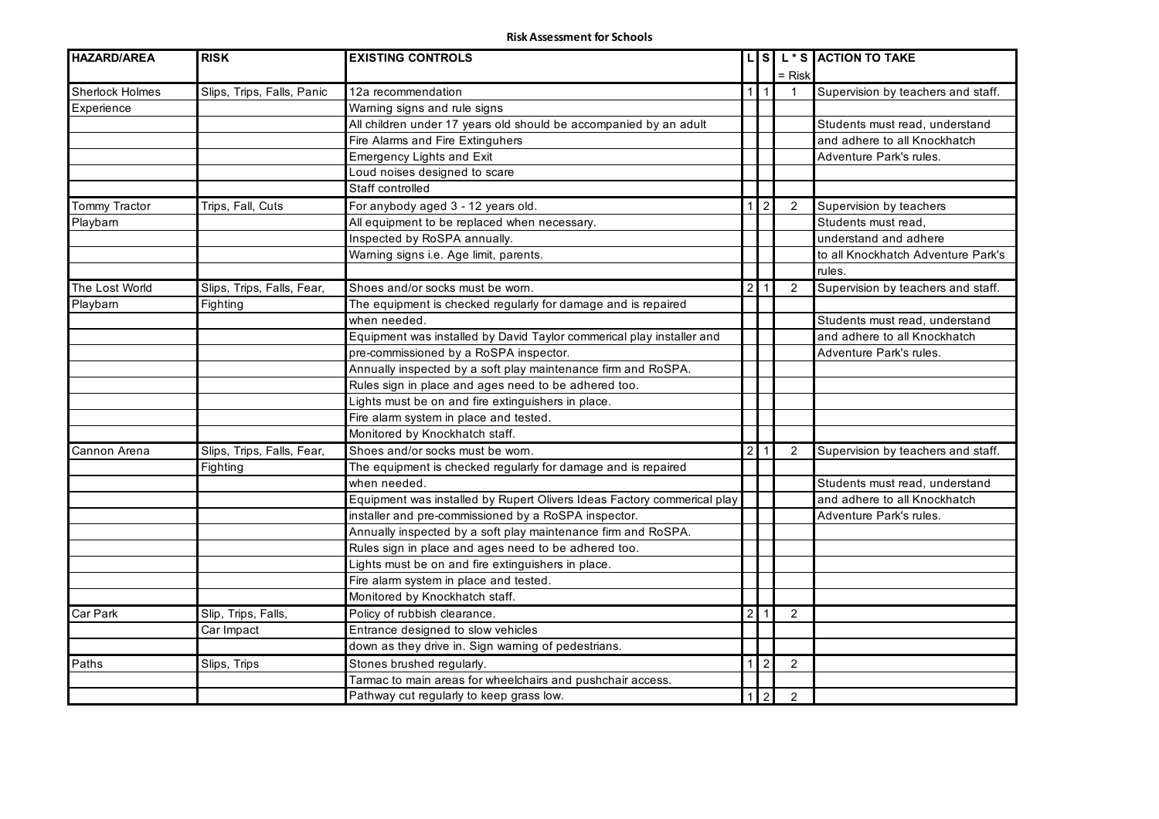| <b>HAZARD/AREA</b>     | <b>RISK</b>                | <b>EXISTING CONTROLS</b>                                                |                |                         |                | LS L*S ACTION TO TAKE              |
|------------------------|----------------------------|-------------------------------------------------------------------------|----------------|-------------------------|----------------|------------------------------------|
|                        |                            |                                                                         |                |                         | $=$ Risk       |                                    |
| <b>Sherlock Holmes</b> | Slips, Trips, Falls, Panic | 12a recommendation                                                      | 1 <sup>1</sup> | $\overline{\mathbf{1}}$ |                | Supervision by teachers and staff. |
| Experience             |                            | Warning signs and rule signs                                            |                |                         |                |                                    |
|                        |                            | All children under 17 years old should be accompanied by an adult       |                |                         |                | Students must read, understand     |
|                        |                            | Fire Alarms and Fire Extinguhers                                        |                |                         |                | and adhere to all Knockhatch       |
|                        |                            | <b>Emergency Lights and Exit</b>                                        |                |                         |                | Adventure Park's rules.            |
|                        |                            | Loud noises designed to scare                                           |                |                         |                |                                    |
|                        |                            | Staff controlled                                                        |                |                         |                |                                    |
| <b>Tommy Tractor</b>   | Trips, Fall, Cuts          | For anybody aged 3 - 12 years old.                                      | $\mathbf{1}$   | $\overline{c}$          | 2              | Supervision by teachers            |
| Playbarn               |                            | All equipment to be replaced when necessary.                            |                |                         |                | Students must read,                |
|                        |                            | Inspected by RoSPA annually.                                            |                |                         |                | understand and adhere              |
|                        |                            | Warning signs i.e. Age limit, parents.                                  |                |                         |                | to all Knockhatch Adventure Park's |
|                        |                            |                                                                         |                |                         |                | rules.                             |
| The Lost World         | Slips, Trips, Falls, Fear, | Shoes and/or socks must be worn.                                        |                | $2 \mid 1$              | 2              | Supervision by teachers and staff. |
| Playbarn               | Fighting                   | The equipment is checked regularly for damage and is repaired           |                |                         |                |                                    |
|                        |                            | when needed.                                                            |                |                         |                | Students must read, understand     |
|                        |                            | Equipment was installed by David Taylor commerical play installer and   |                |                         |                | and adhere to all Knockhatch       |
|                        |                            | pre-commissioned by a RoSPA inspector.                                  |                |                         |                | Adventure Park's rules.            |
|                        |                            | Annually inspected by a soft play maintenance firm and RoSPA.           |                |                         |                |                                    |
|                        |                            | Rules sign in place and ages need to be adhered too.                    |                |                         |                |                                    |
|                        |                            | Lights must be on and fire extinguishers in place.                      |                |                         |                |                                    |
|                        |                            | Fire alarm system in place and tested.                                  |                |                         |                |                                    |
|                        |                            | Monitored by Knockhatch staff.                                          |                |                         |                |                                    |
| Cannon Arena           | Slips, Trips, Falls, Fear, | Shoes and/or socks must be worn.                                        | $\overline{2}$ | - 1                     | 2              | Supervision by teachers and staff. |
|                        | Fighting                   | The equipment is checked regularly for damage and is repaired           |                |                         |                |                                    |
|                        |                            | when needed.                                                            |                |                         |                | Students must read, understand     |
|                        |                            | Equipment was installed by Rupert Olivers Ideas Factory commerical play |                |                         |                | and adhere to all Knockhatch       |
|                        |                            | installer and pre-commissioned by a RoSPA inspector.                    |                |                         |                | Adventure Park's rules.            |
|                        |                            | Annually inspected by a soft play maintenance firm and RoSPA.           |                |                         |                |                                    |
|                        |                            | Rules sign in place and ages need to be adhered too.                    |                |                         |                |                                    |
|                        |                            | Lights must be on and fire extinguishers in place.                      |                |                         |                |                                    |
|                        |                            | Fire alarm system in place and tested.                                  |                |                         |                |                                    |
|                        |                            | Monitored by Knockhatch staff.                                          |                |                         |                |                                    |
| Car Park               | Slip, Trips, Falls,        | Policy of rubbish clearance.                                            |                | $2 \mid 1$              | 2              |                                    |
|                        | Car Impact                 | Entrance designed to slow vehicles                                      |                |                         |                |                                    |
|                        |                            | down as they drive in. Sign warning of pedestrians.                     |                |                         |                |                                    |
| Paths                  | Slips, Trips               | Stones brushed regularly.                                               | 1 <sup>1</sup> | $\sqrt{2}$              | 2              |                                    |
|                        |                            | Tarmac to main areas for wheelchairs and pushchair access.              |                |                         |                |                                    |
|                        |                            | Pathway cut regularly to keep grass low.                                | 1 <sup>1</sup> | $\overline{2}$          | $\overline{2}$ |                                    |